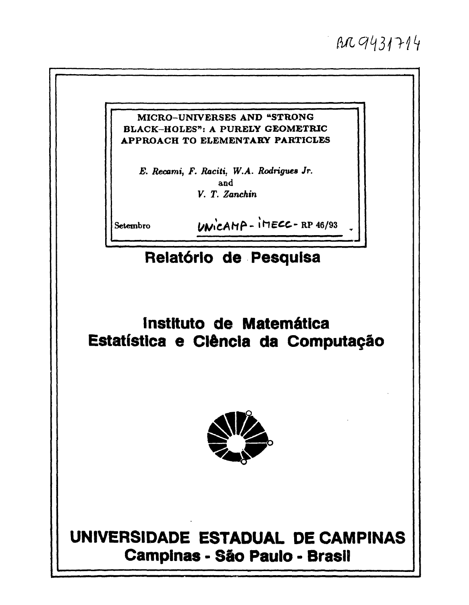# $AB9431714$

### MICRO-UNIVERSES AND "STRONG BLACK-HOLES": A PURELY GEOMETRIC APPROACH TO ELEMENTARY PARTICLES

E. Recami, F. Raciti, W.A. Rodrigues Jr. and V. T. Zanchin

Setembro

 $UNICALP - IDEC - RP 46/93$ 

## Relatório de Pesquisa

## Instituto de Matemática Estatística e Ciência da Computação



# UNIVERSIDADE ESTADUAL DE CAMPINAS **Campinas - São Paulo - Brasil**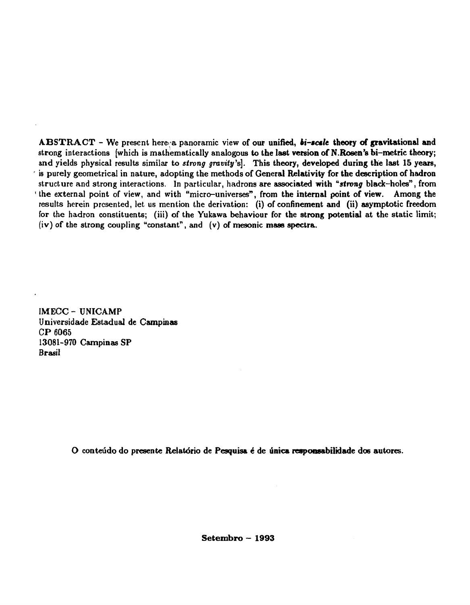**ABSTRACT** - We present here a panoramic view of our unified, *bi-scale* theory of gravitational and **strong interactions [which is mathematically analogous to the last version of N.Rosen's bi-metric theory; and yields physical results similar to** *strong gravity's).* **This theory, developed during the last 15 years,**  is purely geometrical in nature, adopting the methods of General Relativity for the description of hadron **structure and strong interactions. In particular, hadrons are associated with** *"strong* **black-holes", from ' the external point of view, and with "micro-universes", from the internal point of view. Among the results herein presented, let us mention the derivation: (i) of confinement and (ii) asymptotic freedom for the hadron constituents; (iii) of the Yukawa behaviour for the strong potential at the static limit; (iv) of the strong coupling "constant", and (v) of mesonic mass spectra.** 

**IMECC - UNICAMP Universidade Estadual de Campinas CP 6065 13081-970 Campinas SP Brasil** 

**O conteúdo do presente Relatório de Pesquisa é de única responsabilidade dos autores.** 

**Setembro - 1993**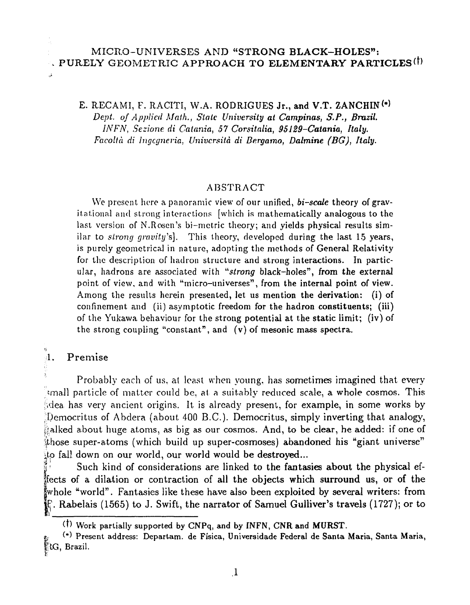## MICRO-UNIVERSES AND "STRONG **BLACK-HOLES": EXPURELY GEOMETRIC APPROACH TO ELEMENTARY PARTICLES<sup>(†)</sup>**

E. RECAMI, F. RACITI, W.A. RODRIGUES Jr., and V.T. ZANCHIN<sup>(\*)</sup> *Dept. of Applied Math., State University at Campinas, S.P., Brazil. IN FN, Sezione. di Catania, 57 Corsitalia, 95129-Catania, Italy. Facolià di Ingcgneria, Univcrsità di Bergamo, Dalmine (BG), Italy.* 

#### ABSTRACT

We present here a panoramic view of our unified, *bi-scale* theory of gravitational and strong interactions [which is mathematically analogous to the last version of N.Rosen's bi-metric theory; and yields physical results similar to *strong gravity's].* This theory, developed during the last 15 years, is purely geometrical in nature, adopting the methods of General Relativity for the description of hadron structure and strong interactions. In particular, hadrons are associated with *"strong* black-holes", from the external point of view, and with "micro-universes", from the internal point of view. Among the results herein presented, let us mention the derivation: (i) of confinement and (ii) asymptotic freedom for the hadron constituents; (iii) of the Yukawa behaviour for the strong potential at the static limit; (iv) of the strong coupling "constant", and  $(v)$  of mesonic mass spectra.

# $\frac{9}{2}$ 1. Premise

فرز

Probably each of us, at least when young, has sometimes imagined that every imall particle of matter could be, at a suitably reduced scale, a whole cosmos. This  $\beta$ dea has very ancient origins. It is already present, for example, in some works by !Democritus of Abdera (about 400 B.C.). Democritus, simply inverting that analogy, alked about huge atoms, as big as our cosmos. And, to be clear, he added: if one of those super-atoms (which build up super-cosmoses) abandoned his "giant universe" to fall down on our world, our world would be destroyed...

Such kind of considerations are linked to the fantasies about the physical effects of a dilation or contraction of all the objects which surround us, or of the Iwhole "world". Fantasies like these have also been exploited by several writers: from |Ej\ Rabelais (1565) to J. Swift, the narrator of Samuel Gulliver's travels (1727); or to

it) Work partially supported by CNPq, and by INFN, CNR and MURST.

<sup>&</sup>amp; (") Present address: Departam. de Física, Universidade Federal de Santa Maria, Santa Maria, f'K3, Brazil.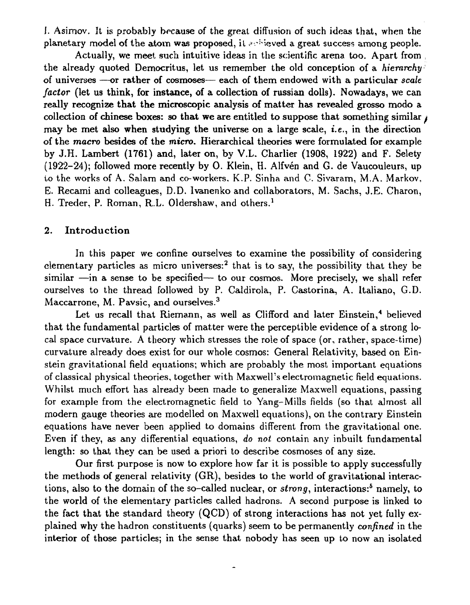í. Asimov. It is probably because of the great diffusion of such ideas that, when the planetary model of the atom was proposed, it arisieved a great success among people.

Actually, we meet such intuitive ideas in the scientific arena too. Apart from , the already quoted Democritus, let us remember the old conception of a *hierarchy*  of universes —or rather of cosmoses— each of them endowed with a particular *scale factor* (let us think, for instance, of a collection of russian dolls). Nowadays, we can really recognize that the microscopic analysis of matter has revealed grosso modo a collection of chinese boxes: so that we are entitled to suppose that something similar  $\imath$ may be met also when studying the universe on a large scale, i.e., in the direction of the *macro* besides of the *micro.* Hierarchical theories were formulated for example by J.H. Lambert (1761) and, later on, by V.L. Charlier (1908, 1922) and F. Selety (1922-24); followed more recently by O. Klein, H. Alfvén and G. de Vaucouleurs, up to the works of A. Salam and co-workers. K.P. Sinha and C. Sivaram, M.A. Markov. E. Recami and colleagues, D.D. lvanenko and collaborators, M. Sachs, J.E. Charon, H. Treder, P. Roman, R.L. Oldershaw, and others.<sup>1</sup>

#### 2. Introduction

In this paper we confine ourselves to examine the possibility of considering elementary particles as micro universes:<sup>2</sup> that is to say, the possibility that they be similar —in a sense to be specified— to our cosmos. More precisely, we shall refer ourselves to the thread followed by P. Caldirola, P. Castorina, A. Italiano, G.D. Maccarrone, M. Pavsic, and ourselves.<sup>3</sup>

Let us recall that Riemann, as well as Clifford and later Einstein,<sup>4</sup> believed that the fundamental particles of matter were the perceptible evidence of a strong local space curvature. A theory which stresses the role of space (or, rather, space-time) curvature already does exist for our whole cosmos: General Relativity, based on Einstein gravitational field equations; which are probably the most important equations of classical physical theories, together with Maxwell's electromagnetic field equations. Whilst much effort has already been made to generalize Maxwell equations, passing for example from the electromagnetic field to Yang-Mills fields (so that almost all modern gauge theories are modelled on Maxwell equations), on the contrary Einstein equations have never been applied to domains different from the gravitational one. Even if they, as any differential equations, *do not* contain any inbuilt fundamental length: so that they can be used a priori to describe cosmoses of any size.

Our first purpose is now to explore how far it is possible to apply successfully the methods of general relativity (GR), besides to the world of gravitational interactions, also to the domain of the so-called nuclear, or *strong*, interactions:<sup>5</sup> namely, to the world of the elementary particles called hadrons. A second purpose is linked to the fact that the standard theory (QCD) of strong interactions has not yet fully explained why the hadron constituents (quarks) seem to be permanently *confined* in the interior of those particles; in the sense that nobody has seen up to now an isolated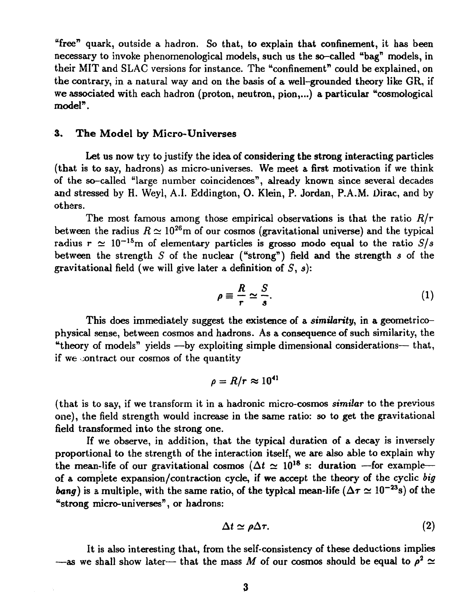"free" quark, outside a hadron. So that, to explain that confinement, it has been necessary to invoke phenomenological models, such us the so-called "bag" models, in their MIT and SLAC versions for instance. The "confinement" could be explained, on the contrary, in a natural way and on the basis of a well-grounded theory like GR, if we associated with each hadron (proton, neutron, pion,...) a particular "cosmological model".

#### 3. **The** Model by Micro-Universes

Let us now try to justify the idea of considering the strong interacting particles (that is to say, hadrons) as micro-universes. We meet a first motivation if we think of the so-called "large number coincidences", already known since several decades and stressed by H. Weyl, A.I. Eddington, O. Klein, P. Jordan, P.A.M. Oirac, and by others.

The most famous among those empirical observations is that the ratio *R/r*  between the radius  $R \simeq 10^{26}$ m of our cosmos (gravitational universe) and the typical radius  $r \approx 10^{-15}$ m of elementary particles is grosso modo equal to the ratio  $S/s$ between the strength *S* of the nuclear ("strong") field and the strength *s* of the gravitational field (we will give later a definition of 5, *s):* 

$$
\rho \equiv \frac{R}{r} \simeq \frac{S}{s}.\tag{1}
$$

This does immediately suggest the existence of a *similarity,* in a geométricophysical sense, between cosmos and hadrons. As a consequence of such similarity, the "theory of models" yields —by exploiting simple dimensional considerations— that, if we contract our cosmos of the quantity

$$
\rho = R/r \approx 10^{41}
$$

(that is to say, if we transform it in a hadronic micro-cosmos *similar* to the previous one), the field strength would increase in the same ratio: so to get the gravitational field transformed into the strong one.

If we observe, in addition, that the typical duration of a decay is inversely proportional to the strength of the interaction itself, we are also able to explain why the mean-life of our gravitational cosmos ( $\Delta t \simeq 10^{18}$  s: duration -for exampleof a complete expansion/contraction cycle, if we accept the theory of the cyclic *big bang*) is a multiple, with the same ratio, of the typical mean-life ( $\Delta \tau \simeq 10^{-23}$ s) of the "strong micro-universes", or hadrons:

$$
\Delta t \simeq \rho \Delta \tau. \tag{2}
$$

It is also interesting that, from the self-consistency of these deductions implies —as we shall show later— that the mass M of our cosmos should be equal to  $\rho^2 \simeq$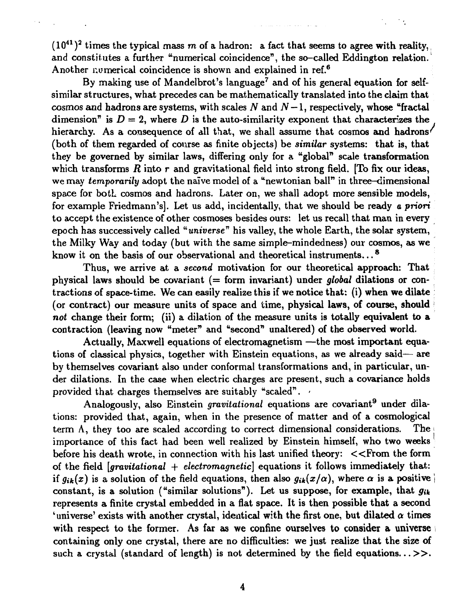$(10^{41})^2$  times the typical mass m of a hadron: a fact that seems to agree with reality, and constitutes a further "numerical coincidence", the so-called Eddington relation. Another numerical coincidence is shown and explained in ref.<sup>6</sup>

By making use of Mandelbrot's language<sup>7</sup> and of his general equation for selfsimilar structures, what precedes can be mathematically translated into the claim that cosmos and hadrons are systems, with scales *N* and *N —* 1, respectively, whose "fractal dimension" is  $D = 2$ , where D is the auto-similarity exponent that characterizes the hierarchy. As a consequence of all that, we shall assume that cosmos and hadrons<sup>/</sup> (both of them regarded of course as finite objects) be *similar* systems: that is, that they be governed by similar laws, differing only for a "global" scale transformation which transforms  $R$  into  $r$  and gravitational field into strong field. [To fix our ideas, we may *temporarily* adopt the naive model of a "newtonian ball" in three-dimensional space for both cosmos and hadrons. Later on, we shall adopt more sensible models, for example Friedmann's]. Let us add, incidentally, that we should be ready *a priori*  to accept the existence of other cosmoses besides ours: let us recall that man in every epoch has successively called "*universe*" his valley, the whole Earth, the solar system, the Milky Way and today (but with the same simple-mindedness) our cosmos, as we know it on the basis of our observational and theoretical instruments...*<sup>s</sup>*

Thus, we arrive at a *second* motivation for our theoretical approach: That physical laws should be covariant (= form invariant) under *global* dilations or contractions of space-time. We can easily realize this if we notice that: (i) when we dilate (or contract) our measure units of space and time, physical laws, of course, should not change their form; (ii) a dilation of the measure units is totally equivalent to a contraction (leaving now "meter" and "second" unaltered) of the observed world.

Actually, Maxwell equations of electromagnetism —the most important equations of classical physics, together with Einstein equations, as we already said— are by themselves covariant also under conformai transformations and, in particular, under dilations. In the case when electric charges are present, such a covariance holds provided that charges themselves are suitably "scaled".

Analogously, also Einstein *gravitational* equations are covariant<sup>9</sup> under dilations: provided that, again, when in the presence of matter and of a cosmological term  $\Lambda$ , they too are scaled according to correct dimensional considerations. The importance of this fact had been well realized by Einstein himself, who two weeks before his death wrote, in connection with his last unified theory: <<From the form of the field *[gravitational* + *electromagnetic]* equations it follows immediately that: *if*  $g_{ik}(x)$  is a solution of the field equations, then also  $g_{ik}(x/\alpha)$ , where  $\alpha$  is a positive constant, is a solution ("similar solutions"). Let us suppose, for example, that *gut*  represents a finite crystal embedded in a fiat space. It is then possible that a second 'universe' exists with another crystal, identical with the first one, but dilated  $\alpha$  times with respect to the former. As far as we confine ourselves to consider a universe is containing only one crystal, there are no difficulties: we just realize that the size of such a crystal (standard of length) is not determined by the field equations... $\gg$ .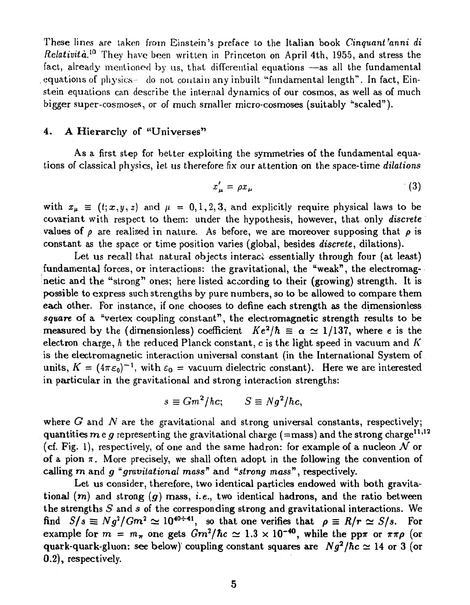These lines are taken from Einstein's preface to the Italian book *Cinquant'anni di Relatività.<sup>10</sup>* They have been written in Princeton on April 4th, 1955, and stress the fact, already mentioned by us, that differential equations —as all the fundamental equations of physics - do not contain any inbuilt "fundamental length". In fact, Einstein equations can describe the internal dynamics of our cosmos, as well as of much bigger super-cosmoses, or of much smaller micro-cosmoses (suitably "scaled").

#### 4. A Hierarchy of "Universes"

As a first step for better exploiting the symmetries of the fundamental equations of classical physics, let us therefore fix our attention on the space-time *dilations* 

$$
x'_{\mu} = \rho x_{\mu} \tag{3}
$$

with  $x_{\mu} \equiv (t; x, y, z)$  and  $\mu = 0, 1, 2, 3$ , and explicitly require physical laws to be covariant with respect to them: under the hypothesis, however, that only *discrete* values of  $\rho$  are realized in nature. As before, we are moreover supposing that  $\rho$  is constant as the space or time position varies (global, besides *discrete,* dilations).

Let us recall that natural objects interact essentially through four (at least) fundamental forces, or interactions: the gravitational, the "weak", the electromagnetic and the "strong" ones; here listed according to their (growing) strength. It is possible to express such strengths by pure numbers, so to be allowed to compare them each other. For instance, if one chooses to define each strength as the dimensionless square of a "vertex coupling constant", the electromagnetic strength results to be measured by the (dimensionless) coefficient  $Ke^2/\hbar \equiv \alpha \simeq 1/137$ , where e is the electron charge, *h* the reduced Planck constant, c is the light speed in vacuum and *K*  is the electromagnetic interaction universal constant (in the International System of units,  $K = (4\pi\epsilon_0)^{-1}$ , with  $\epsilon_0 = \text{vacuum dielectric constant}$ . Here we are interested in particular in the gravitational and strong interaction strengths:

$$
s \equiv Gm^2/\hbar c; \qquad S \equiv Ng^2/\hbar c,
$$

where *G* and *N* are the gravitational and strong universal constants, respectively; quantities  $m e g$  representing the gravitational charge (=mass) and the strong charge<sup>11,12</sup> (cf. Fig. 1), respectively, of one and the same hadron: for example of a nucleon  $\mathcal N$  or of a pion  $\pi$ . More precisely, we shall often adopt in the following the convention of **calling** *rn* **and** *g "gravitational mass"* and *<sup>u</sup>strong mass",* respectively.

Let us consider, therefore, two identical particles endowed with both gravitational  $(m)$  and strong  $(g)$  mass, *i.e.*, two identical hadrons, and the ratio between the strengths *S* and s of the corresponding strong and gravitational interactions. We find  $S/s \equiv Ng^2/Gm^2 \simeq 10^{40\div 41}$ , so that one verifies that  $\rho \equiv R/r \simeq S/s$ . For example for  $m = m_{\pi}$  one gets  $Gm^2/\hbar c \simeq 1.3 \times 10^{-40}$ , while the pp $\pi$  or  $\pi \pi \rho$  (or quark-quark-gluon: see below) coupling constant squares are  $Ng^2/\hbar c \simeq 14$  or 3 (or 0.2), respectively.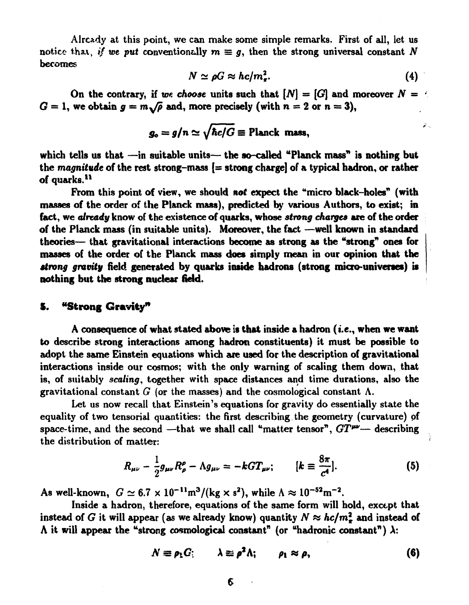Already at this point, we can make some simple remarks. First of ail, let us notice that, *if we put* conventionally  $m \equiv g$ , then the strong universal constant N becomes

$$
N \simeq \rho G \approx h c / m_{\pi}^2. \tag{4}
$$

ل ځ

On the contrary, if we choose units such that  $[N] = [G]$  and moreover  $N = \{$  $G = 1$ , we obtain  $g = m\sqrt{\rho}$  and, more precisely (with  $n = 2$  or  $n = 3$ ),

$$
g_o = g/n \simeq \sqrt{\hbar c/G} \equiv \text{Planck mass},
$$

which tells us that —in suitable units— the so-called "Planck mass" is nothing but the *magnitude* of the rest strong-mass {= strong charge] of a typical hadron, or rather of quarks.<sup>11</sup>

From this point of view, we should *not* expect the "micro black-holes" (with masses of the order of the Planck mass), predicted by various Authors, to exist; in fact, we *already* know of the existence of quarks, whose *strong charges* are of the order of the Planck mass (in suitable units). Moreover, the fact —well known in standard theories— that gravitational interactions become as strong as the "strong" ones for masses of the order of the Planck mass does simply mean in our opinion that the *strong gravity* field generated by quarks inside hadrons (strong micro-universes) is nothing but the strong nuclear field.

#### S. "Strong **Gravity"**

A consequence of what stated above is that inside a hadron (i.e., when we want to describe strong interactions among hadron constituents) it must be possible to adopt the same Einstein equations which are used for the description of gravitational interactions inside our cosmos; with the only warning of scaling them down, that is, of suitably *scaling,* together with space distances and time durations, also the gravitational constant  $G$  (or the masses) and the cosmological constant  $\Lambda$ .

Let us now recall that Einstein's equations for gravity do essentially state the equality of two tensorial quantities: the first describing. the geometry (curvature) of space-time, and the second —that we shall call "matter tensor",  $GT^{\mu\nu}$ — describing the distribution of matter:

$$
R_{\mu\nu} - \frac{1}{2}g_{\mu\nu}R^{\rho}_{\rho} - \Lambda g_{\mu\nu} = -kGT_{\mu\nu}; \qquad [k \equiv \frac{8\pi}{c^4}]. \qquad (5)
$$

As well-known,  $G \simeq 6.7 \times 10^{-11} \text{m}^3/(\text{kg} \times \text{s}^2)$ , while  $\Lambda \approx 10^{-52} \text{m}^{-2}$ .

Inside a hadron, therefore, equations of the same form will hold, except that instead of *G* it will appear (as we already know) quantity  $N \approx hc/m_\pi^2$  and instead of  $\Lambda$  it will appear the "strong cosmological constant" (or "hadronic constant")  $\lambda$ :

$$
N \equiv \rho_1 G; \qquad \lambda \equiv \rho^2 \Lambda; \qquad \rho_1 \approx \rho, \qquad (6)
$$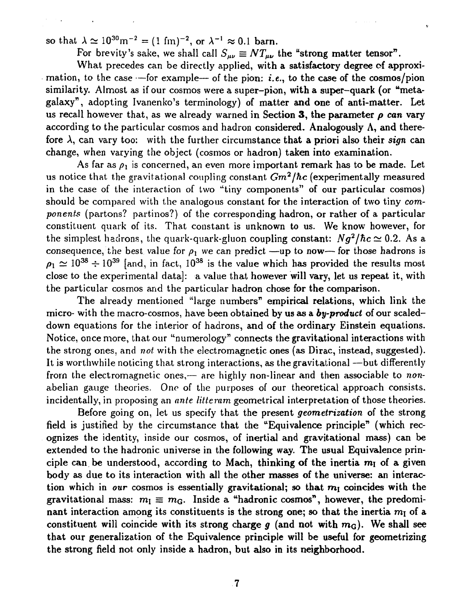so that  $\lambda \simeq 10^{30} \text{m}^{-2} = (1 \text{ fm})^{-2}$ , or  $\lambda^{-1} \approx 0.1$  barn.

For brevity's sake, we shall call  $S_{\mu\nu} \equiv N T_{\mu\nu}$  the "strong matter tensor".

What precedes can be directly applied, with a satisfactory degree of approximation, to the case  $-$  for example— of the pion: *i.e.*, to the case of the cosmos/pion similarity. Almost as if our cosmos were a super-pion, with a super-quark (or "metagalaxy", adopting Ivanenko's terminology) of matter and one of anti-matter. Let us recall however that, as we already warned in Section 3, the parameter  $\rho$  can vary according to the particular cosmos and hadron considered. Analogously  $\Lambda$ , and therefore  $\lambda$ , can vary too: with the further circumstance that a priori also their *sign* can change, when varying the object (cosmos or hadron) taken into examination.

As far as  $\rho_1$  is concerned, an even more important remark has to be made. Let us notice that the gravitational coupling constant *Gm<sup>2</sup> /hc* (experimentally measured in the case of the interaction of two "tiny components" of our particular cosmos) should be compared with the analogous constant for the interaction of two tiny *components* (partons? partinos?) of the corresponding hadron, or rather of a particular constituent quark of its. That constant is unknown to us. We know however, for the simplest hadrons, the quark-quark-gluon coupling constant:  $Ng^2/\hbar c \simeq 0.2$ . As a consequence, the best value for  $\rho_1$  we can predict —up to now— for those hadrons is  $\rho_1 \simeq 10^{38} \div 10^{39}$  [and, in fact, 10<sup>38</sup> is the value which has provided the results most close to the experimental data]: a value that however will vary, let us repeat it, with the particular cosmos and the particular hadron chose for the comparison.

The already mentioned "large numbers" empirical relations, which link the micro- with the macro-cosmos, have been obtained by us as a *by-product* of our scaleddown equations for the interior of hadrons, and of the ordinary Einstein equations. Notice, once more, that our "numerology" connects the gravitational interactions with the strong ones, and *not* with the electromagnetic ones (as Dirac, instead, suggested). It is worthwhile noticing that strong interactions, as the gravitational —but differently from the electromagnetic ones,— are highly non-linear and then associable to *non*abelian gauge theories. One of the purposes of our theoretical approach consists, incidentally, in proposing an *ante litteram* geometrical interpretation of those theories.

Before going on, let us specify that the present *geometrization* of the strong field is justified by the circumstance that the "Equivalence principle" (which recognizes the identity, inside our cosmos, of inertial and gravitational mass) can be extended to the hadronic universe in the following way. The usual Equivalence principle can be understood, according to Mach, thinking of the inertia  $m<sub>I</sub>$  of a given body as due to its interaction with all the other masses of the universe: an interaction which in *our* cosmos is essentially gravitational; so that *m\* coincides with the gravitational mass:  $m_{\rm I} \equiv m_{\rm G}$ . Inside a "hadronic cosmos", however, the predominant interaction among its constituents is the strong one; so that the inertia  $m<sub>I</sub>$  of a constituent will coincide with its strong charge  $g$  (and not with  $m<sub>G</sub>$ ). We shall see that our generalization of the Equivalence principle will be useful for geometrizing the strong field not only inside a hadron, but also in its neighborhood.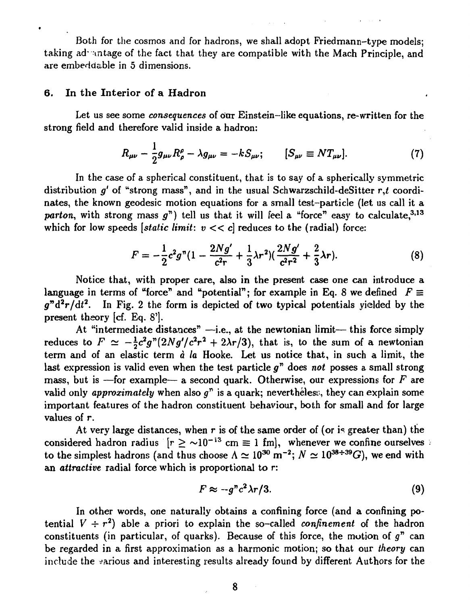Both for the cosmos and for hadrons, we shall adopt Friedmann-type models; taking advantage of the fact that they are compatible with the Mach Principle, and are embeddable in 5 dimensions.

#### 6. In the Interior of a Hadron

Let us see some *consequences* of oar Einstein-like equations, re-written for the strong field and therefore valid inside a hadron:

$$
R_{\mu\nu} - \frac{1}{2}g_{\mu\nu}R^{\rho}_{\rho} - \lambda g_{\mu\nu} = -kS_{\mu\nu}; \qquad [S_{\mu\nu} \equiv N T_{\mu\nu}]. \tag{7}
$$

In the case of a spherical constituent, that is to say of a spherically symmetric distribution  $g'$  of "strong mass", and in the usual Schwarzschild-deSitter  $r,t$  coordinates, the known geodesic motion equations for a small test-particle (let us call it a *parton,* with strong mass  $g''$ ) tell us that it will feel a "force" easy to calculate.<sup>3,13</sup> which for low speeds *[static limit:*  $v \ll c$ *]* reduces to the *(radial)* force:

$$
F = -\frac{1}{2}c^2g''(1 - \frac{2Ng'}{c^2r} + \frac{1}{3}\lambda r^2)(\frac{2Ng'}{c^2r^2} + \frac{2}{3}\lambda r).
$$
 (8)

Notice that, with proper care, also in the present case one can introduce a language in terms of "force" and "potential"; for example in Eq. 8 we defined  $F \equiv$  $g^{\prime\prime}d^2r/dt^2$ . In Fig. 2 the form is depicted of two typical potentials yielded by the present theory [cf. Eq. 8').

At "intermediate distances"  $-i.e.,$  at the newtonian limit— this force simply reduces to  $F \simeq -\frac{1}{2}c^2g''(2Ng'/c^2r^2 + 2\lambda r/3)$ , that is, to the sum of a newtonian term and of an elastic term *à la* Hooke. Let us notice that, in such a limit, the last expression is valid even when the test particle  $g^{\prime\prime}$  does *not* posses a small strong mass, but is —for example— a second quark. Otherwise, our expressions for *F* are valid only *approximately* when also  $g^r$  is a quark; nevertheless, they can explain some important features of the hadron constituent behaviour, both for small and for large values of r.

At very large distances, when  $r$  is of the same order of (or is greater than) the considered hadron radius  $[r \ge \sim 10^{-13} \text{ cm} \equiv 1 \text{ fm}]$ , whenever we confine ourselves to the simplest hadrons (and thus choose  $\Lambda \simeq 10^{30}$  m<sup>-2</sup>;  $N \simeq 10^{38 \div 39} G$ ), we end with an *attractive* radial force which is proportional to r:

$$
F \approx -g^n c^2 \lambda r/3. \tag{9}
$$

In other words, one naturally obtains a confining force (and a confining potential  $V \div r^2$ ) able a priori to explain the so-called *confinement* of the hadron constituents (in particular, of quarks). Because of this force, the motion of *g"* can be regarded in a first approximation as a harmonic motion; so that our *theory* can include the various and interesting results already found by different Authors for the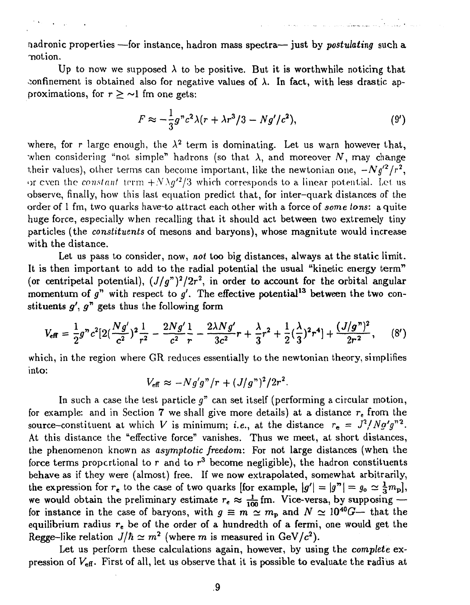nadronic properties —for instance, hadron mass spectra— just by *postulating* such a •notion.

Up to now we supposed  $\lambda$  to be positive. But it is worthwhile noticing that confinement is obtained also for negative values of  $\lambda$ . In fact, with less drastic approximations, for  $r \geq \sim 1$  fm one gets:

$$
F \approx -\frac{1}{3}g''c^2\lambda(r + \lambda r^3/3 - Ng'/c^2),\tag{9'}
$$

where, for r large enough, the  $\lambda^2$  term is dominating. Let us warn however that, when considering "not simple" hadrons (so that  $\lambda$ , and moreover N, may change their values), other terms can become important, like the newtonian one,  $-Ng'^2/r^2$ , or even the *constant* term  $+N\lambda g'^2/3$  which corresponds to a linear potential. Let us observe, finally, how this last equation predict that, for inter-quark distances of the order of 1 fm, two quarks have-to attract each other with a force of *some tons:* a quite huge force, especially when recalling that it should act between two extremely tiny particles (the *constituents* of mesons and baryons), whose magnitute would increase with the distance.

Let us pass to consider, now, *not* too big distances, always at the static limit. It is then important to add to the radial potential the usual "kinetic energy term" (or centripetal potential),  $(J/g<sup>n</sup>)<sup>2</sup>/2r<sup>2</sup>$ , in order to account for the orbital angular momentum of  $g''$  with respect to  $g'$ . The effective potential<sup>13</sup> between the two constituents  $g', g''$  gets thus the following form

$$
V_{\text{eff}} = \frac{1}{2}g''c^2[2(\frac{Ng'}{c^2})^2\frac{1}{r^2} - \frac{2Ng'}{c^2}\frac{1}{r} - \frac{2\lambda Ng'}{3c^2}r + \frac{\lambda}{3}r^2 + \frac{1}{2}(\frac{\lambda}{3})^2r^4] + \frac{(J/g'')^2}{2r^2}, \qquad (8')
$$

which, in the region where GR reduces essentially to the newtonian theory, simplifies into:

$$
V_{\text{eff}} \approx -N g' g''/r + (J/g'')^2/2r^2.
$$

In such a case the test particle  $g^r$  can set itself (performing a circular motion, for example: and in Section 7 we shall give more details) at a distance  $r_{e}$  from the source-constituent at which V is minimum; *i.e.*, at the distance  $r_e = J^2/Ng'g''^2$ . At this distance the "effective force" vanishes. Thus we meet, at short distances, the phenomenon known as *asymptotic freedom:* For not large distances (when the force terms proportional to  $r$  and to  $r<sup>3</sup>$  become negligible), the hadron constituents behave as if they were (almost) free. If we now extrapolated, somewhat arbitrarily, the expression for  $r_e$  to the case of two quarks [for example,  $|g'| = |g''| = g_o \simeq \frac{1}{3} m_{\rm pl}$ ], we would obtain the preliminary estimate  $r_e \approx \frac{1}{100}$  fm. Vice-versa, by supposing for instance in the case of baryons, with  $g \equiv m \simeq m_p$  and  $N \simeq 10^{40}$ *G*— that the equilibrium radius *re* be of the order of a hundredth of a fermi, one would get the Regge-like relation  $J/\hbar \simeq m^2$  (where m is measured in GeV/ $c^2$ ).

Let us perform these calculations again, however, by using the *complete* expression of  $V_{\text{eff}}$ . First of all, let us observe that it is possible to evaluate the radius at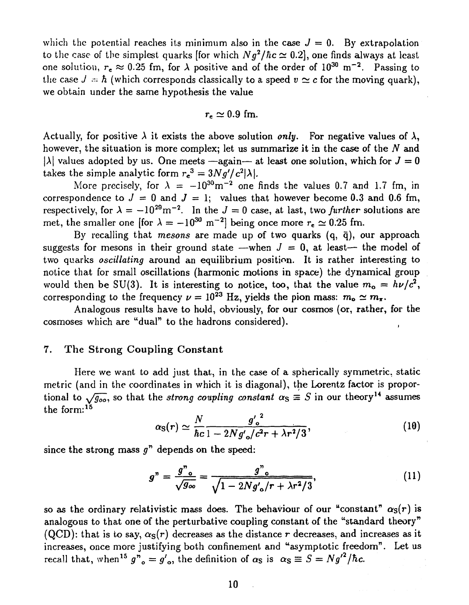which the potential reaches its minimum also in the case  $J = 0$ . By extrapolation to the case of the simplest quarks [for which  $Ng^2/\hbar c \simeq 0.2$ ], one finds always at least one solution,  $r_e \approx 0.25$  fm, for  $\lambda$  positive and of the order of  $10^{30}$  m<sup>-2</sup>. Passing to the case  $J = \hbar$  (which corresponds classically to a speed  $v \simeq c$  for the moving quark), we obtain under the same hypothesis the value

$$
r_{\rm e}\simeq 0.9~{\rm fm}.
$$

Actually, for positive  $\lambda$  it exists the above solution *only*. For negative values of  $\lambda$ , however, the situation is more complex; let us summarize it in the case of the *N* and  $|\lambda|$  values adopted by us. One meets —again— at least one solution, which for  $J = 0$ takes the simple analytic form  $r_e^3 = 3Ng'/c^2|\lambda|$ .

More precisely, for  $\lambda = -10^{30} \text{m}^{-2}$  one finds the values 0.7 and 1.7 fm, in correspondence to  $J = 0$  and  $J = 1$ ; values that however become 0.3 and 0.6 fm, respectively, for  $\lambda = -10^{29}$ m<sup>-2</sup>. In the  $J = 0$  case, at last, two *further* solutions are met, the smaller one [for  $\lambda = -10^{30}$  m<sup>-2</sup>] being once more  $r_e \simeq 0.25$  fm.

By recalling that *mesons are* made up of two quarks (q, q), our approach suggests for mesons in their ground state —when  $J = 0$ , at least— the model of two quarks *oscillating* around an equilibrium position. It is rather interesting to notice that for small oscillations (harmonic motions in space) the dynamical group would then be SU(3). It is interesting to notice, too, that the value  $m_o = h\nu/c^2$ , corresponding to the frequency  $\nu = 10^{23}$  Hz, yields the pion mass:  $m_o \simeq m_{\pi}$ .

Analogous results have to hold, obviously, for our cosmos (or, rather, for the cosmoses which are "dual" to the hadrons considered).

#### 7. The Strong Coupling Constant

Here we want to add just that, in the case of a spherically symmetric, static metric (and in the coordinates in which it is diagonal), the Lorentz factor is proportional to  $\sqrt{g_{oo}}$ , so that the *strong coupling constant*  $\alpha_S \equiv S$  in our theory<sup>14</sup> assumes the form:<sup>15</sup>

$$
\alpha_{\rm S}(r) \simeq \frac{N}{\hbar c} \frac{g'_{\rm o}^2}{1 - 2N g'_{\rm o}/c^2 r + \lambda r^2/3},\tag{10}
$$

since the strong mass  $g<sup>n</sup>$  depends on the speed:

$$
g'' = \frac{g''_{o}}{\sqrt{g_{oo}}} = \frac{g''_{o}}{\sqrt{1 - 2Ng'_{o}/r + \lambda r^{2}/3}},
$$
\n(11)

so as the ordinary relativistic mass does. The behaviour of our "constant"  $\alpha_S(r)$  is analogous to that one of the perturbative coupling constant of the "standard theory" (QCD): that is to say,  $\alpha_S(r)$  decreases as the distance r decreases, and increases as it increases, once more justifying both confinement and "asymptotic freedom". Let us recall that, when<sup>15</sup>  $g''_o = g'_o$ , the definition of  $\alpha_S$  is  $\alpha_S \equiv S = N g'^2 / \hbar c$ .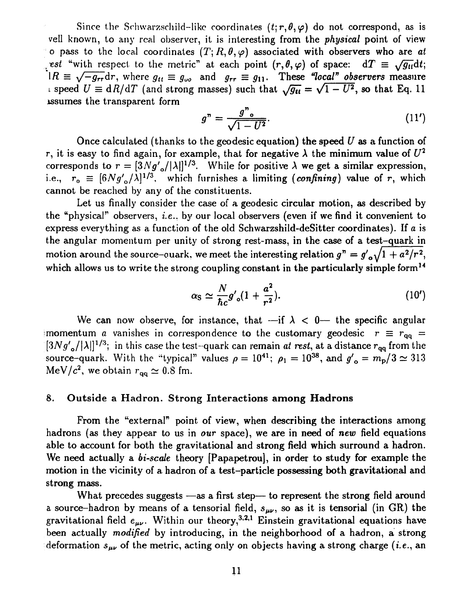Since the Schwarzschild-like coordinates  $(t; r, \theta, \varphi)$  do not correspond, as is veil known, to any real observer, it is interesting from the *physical* point of view o pass to the local coordinates  $(T; R, \theta, \varphi)$  associated with observers who are *at •est* "with respect to the metric" at each point  $(r, \theta, \varphi)$  of space:  $dT \equiv \sqrt{g_{tt}}dt$ ;  $\hat{A} \equiv \sqrt{-g_{rr}} dr$ , where  $g_{tt} \equiv g_{\omega0}$  and  $g_{rr} \equiv g_{11}$ . These "local" observers measure i speed  $U \equiv dR/dT$  (and strong masses) such that  $\sqrt{g_{tt}} = \sqrt{1 - U^2}$ , so that Eq. 11 issumes the transparent form

$$
g'' = \frac{g''}{\sqrt{1 - U^2}}.\tag{11'}
$$

Once calculated (thanks to the geodesic equation) the speed *U* as a function of r, it is easy to find again, for example, that for negative  $\lambda$  the minimum value of  $U^2$ corresponds to  $r = \left[3Ng_o/|\lambda|\right]^{1/3}$ . While for positive  $\lambda$  we get a similar expression, i.e.,  $r_o \equiv [6Ng_o/\lambda]^{1/3}$ , which furnishes a limiting (*confining*) value of r, which cannot be reached by any of the constituents.

Let us finally consider the case of a geodesic circular motion, as described by the "physical" observers, *i.e.,* by our local observers (even if we find it convenient to express everything as a function of the old Schwarzshild-deSitter coordinates). If *a* is the angular momentum per unity of strong rest-mass, in the case of a test-quark in motion around the source-quark, we meet the interesting relation  $g'' = g'_{\alpha} \sqrt{1 + a^2/r^2}$ , which allows us to write the strong coupling constant in the particularly simple form<sup>14</sup>

$$
\alpha_{\rm S} \simeq \frac{N}{\hbar c} g'_{\rm o}(1 + \frac{a^2}{r^2}).\tag{10'}
$$

We can now observe, for instance, that —if  $\lambda < 0$ — the specific angular momentum *a* vanishes in correspondence to the customary geodesic  $r \equiv r_{qq}$  =  $[3Ng'_{o}/|\lambda|]^{1/3}$ ; in this case the test-quark can remain *at rest*, at a distance  $r_{qq}$  from the source-quark. With the "typical" values  $\rho = 10^{41}$ ;  $\rho_1 = 10^{38}$ , and  $g'_{\rho} = m_p / 3 \simeq 313$ MeV/ $c^2$ , we obtain  $r_{qq} \simeq 0.8$  fm.

#### 8. Outside a Hadron. Strong Interactions **among Hadrons**

From the "external" point of view, when describing the interactions among hadrons (as they appear to us in *our* space), we are in need of *new* field equations able to account for both the gravitational and strong field which surround a hadron. We need actually a *bi-scale* theory [Papapetrou], in order to study for example the motion in the vicinity of a hadron of a test-particle possessing both gravitational and strong mass.

What precedes suggests —as a first step— to represent the strong field around a source-hadron by means of a tensorial field,  $s_{\mu\nu}$ , so as it is tensorial (in GR) the gravitational field  $e_{\mu\nu}$ . Within our theory,<sup>3,2,1</sup> Einstein gravitational equations have been actually *modified* by introducing, in the neighborhood of a hadron, a strong deformation  $s_{\mu\nu}$  of the metric, acting only on objects having a strong charge *(i.e.,* an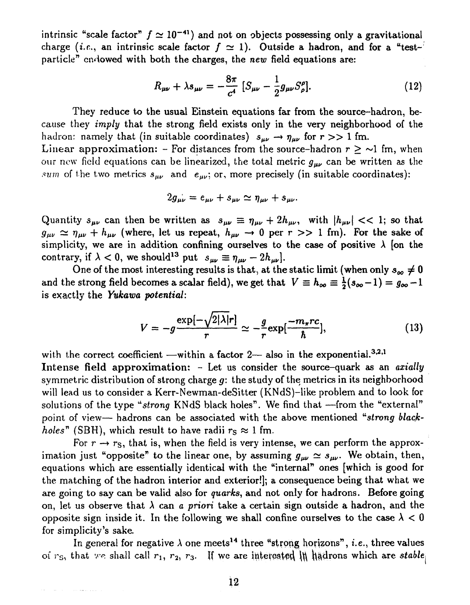intrinsic "scale factor"  $f \approx 10^{-41}$ ) and not on objects possessing only a gravitational charge (*i.e.*, an intrinsic scale factor  $f \approx 1$ ). Outside a hadron, and for a "testparticle" endowed with both the charges, the *new* field equations are:

$$
R_{\mu\nu} + \lambda s_{\mu\nu} = -\frac{8\pi}{c^4} \left[ S_{\mu\nu} - \frac{1}{2} g_{\mu\nu} S^{\rho}_{\rho} \right]. \tag{12}
$$

They reduce to the usual Einstein equations far from the source-hadron, because they *imply* that the strong field exists only in the very neighborhood of the hadron: namely that (in suitable coordinates)  $s_{\mu\nu} \to \eta_{\mu\nu}$  for  $r >> 1$  fm. Linear approximation: - For distances from the source-hadron  $r \geq \sim 1$  fm, when our new field equations can be linearized, the total metric  $g_{\mu\nu}$  can be written as the *sum* of the two metrics  $s_{\mu\nu}$  and  $e_{\mu\nu}$ ; or, more precisely (in suitable coordinates):

$$
2g_{\mu\nu}=e_{\mu\nu}+s_{\mu\nu}\simeq\eta_{\mu\nu}+s_{\mu\nu}.
$$

Quantity  $s_{\mu\nu}$  can then be written as  $s_{\mu\nu} \equiv \eta_{\mu\nu} + 2h_{\mu\nu}$ , with  $|h_{\mu\nu}| << 1$ ; so that  $g_{\mu\nu} \simeq \eta_{\mu\nu} + h_{\mu\nu}$  (where, let us repeat,  $h_{\mu\nu} \to 0$  per  $r >> 1$  fm). For the sake of simplicity, we are in addition confining ourselves to the case of positive  $\lambda$  [on the contrary, if  $\lambda < 0$ , we should<sup>13</sup> put  $s_{\mu\nu} \equiv \eta_{\mu\nu} - 2h_{\mu\nu}$ .

One of the most interesting results is that, at the static limit (when only  $s_{\infty} \neq 0$ and the strong field becomes a scalar field), we get that  $V = h_{\infty} = \frac{1}{2}(s_{\infty} - 1) = g_{\infty} - 1$ is exactly the *Yukawa potential:* 

$$
V = -g \frac{\exp[-\sqrt{2|\lambda|r}]}{r} \simeq -\frac{g}{r} \exp[\frac{-m_{\pi}r c}{\hbar}], \qquad (13)
$$

with the correct coefficient —within a factor 2— also in the exponential.<sup>3,2,1</sup> Intense field approximation: - Let us consider the source-quark as an *axially*  symmetric distribution of strong charge *g:* the study of the metrics in its neighborhood will lead us to consider a Kerr-Newman-deSitter (KNdS)-like problem and to look for solutions of the type *"strong* KNdS black holes". We find that —from the "external" point of view-hadrons can be associated with the above mentioned "strong black*holes*" (SBH), which result to have radii  $r_s \approx 1$  fm.

For  $r \rightarrow r_S$ , that is, when the field is very intense, we can perform the approximation just "opposite" to the linear one, by assuming  $g_{\mu\nu} \simeq s_{\mu\nu}$ . We obtain, then, equations which are essentially identical with the "internal" ones [which is good for the matching of the hadron interior and exterior!]; a consequence being that what we are going to say can be valid also for *quarks,* and not only for hadrons. Before going on, let us observe that  $\lambda$  can *a priori* take a certain sign outside a hadron, and the opposite sign inside it. In the following we shall confine ourselves to the case  $\lambda < 0$ for simplicity's sake.

In general for negative  $\lambda$  one meets<sup>14</sup> three "strong horizons", *i.e.*, three values of  $r_S$ , that we shall call  $r_1$ ,  $r_2$ ,  $r_3$ . If we are interested in hadrons which are *stable* 

متصادر والمستحدث والمتحدث والمستحدث والمتحدث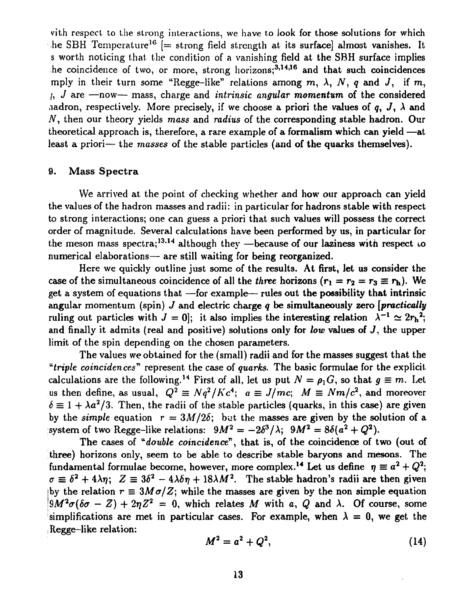vith respect to the strong interactions, we have to look for those solutions for which he SBH Temperature<sup>16</sup> [= strong field strength at its surface] almost vanishes. It s worth noticing that the condition of a vanishing field at the SBH surface implies he coincidence of two, or more, strong horizons;<sup>3,14,16</sup> and that such coincidences mply in their turn some "Regge-like" relations among  $m$ ,  $\lambda$ ,  $N$ ,  $q$  and  $J$ , if  $m$ , /, *J* are —now— mass, charge and *intrinsic angular momentum* of the considered nadron, respectively. More precisely, if we choose a priori the values of q, J,  $\lambda$  and N, then our theory yields mass and *radius* of the corresponding stable hadron. Our theoretical approach is, therefore, a rare example of a formalism which can yield —at least a priori— the *masses* of the stable particles (and of the quarks themselves).

#### 9. Mass Spectra

We arrived at the point of checking whether and how our approach can yield the values of the hadron masses and radii: in particular for hadrons stable with respect to strong interactions; one can guess a priori that such values will possess the correct order of magnitude. Several calculations have been performed by us, in particular for the meson mass spectra;<sup>13,14</sup> although they —because of our laziness with respect to numerical elaborations— are still waiting for being reorganized.

Here we quickly outline just some of the results. At first, let us consider the case of the simultaneous coincidence of all the *three* horizons  $(r_1 = r_2 = r_3 \equiv r_b)$ . We get a system of equations that  $-$ for example— rules out the possibility that intrinsic angular momentum (spin) *J* and electric charge *q* be simultaneously zero *[practically*  ruling out particles with  $J = 0$ ; it also implies the interesting relation  $\lambda^{-1} \simeq 2r_h^2$ ; and finally it admits (real and positive) solutions only for *low* values of J, the upper limit of the spin depending on the chosen parameters.

The values we obtained for the (small) radii and for the masses suggest that the *"triple coincidences"* represent the case of *quarks.* The basic formulae for the explicit calculations are the following.<sup>14</sup> First of all, let us put  $N = \rho_1 G$ , so that  $g \equiv m$ . Let us then define, as usual,  $Q^2 \equiv Nq^2/Kc^4$ ;  $a \equiv J/mc$ ;  $M \equiv Nm/c^2$ , and moreover  $\delta \equiv 1 + \lambda a^2/3$ . Then, the radii of the stable particles (quarks, in this case) are given by the *simple* equation  $r = 3M/2\delta$ ; but the masses are given by the solution of a system of two Regge-like relations:  $9M^2 = -2\delta^3/\lambda$ ;  $9M^2 = 8\delta(a^2 + Q^2)$ .

The cases of "*double coincidence*", that is, of the coincidence of two (out of three) horizons only, seem to be able to describe stable baryons and mesons. The fundamental formulae become, however, more complex.<sup>14</sup> Let us define  $\eta \equiv a^2 + Q^2$ ;  $\sigma \equiv \delta^2 + 4\lambda \eta$ ;  $Z \equiv 3\delta^2 - 4\lambda \delta \eta + 18\lambda M^2$ . The stable hadron's radii are then given by the relation  $r \equiv 3M\sigma/Z$ ; while the masses are given by the non simple equation  $9M^2\sigma(\delta\sigma - Z) + 2\eta Z^2 = 0$ , which relates M with a, Q and  $\lambda$ . Of course, some simplifications are met in particular cases. For example, when  $\lambda = 0$ , we get the Regge-like relation:

$$
M^2 = a^2 + Q^2, \tag{14}
$$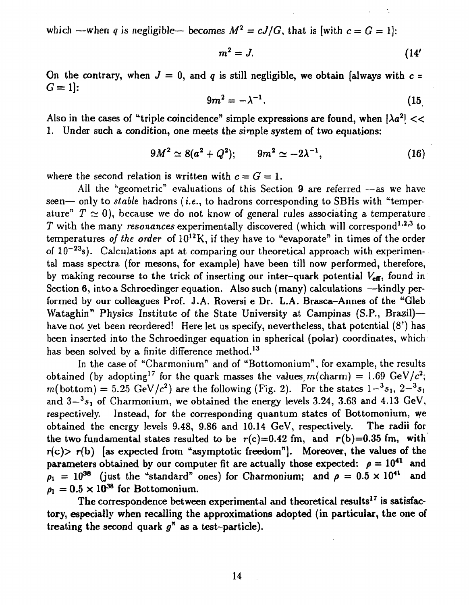which —when *q* is negligible— becomes  $M^2 = cJ/G$ , that is [with  $c = G = 1$ ]:

$$
m^2 = J. \tag{14'}
$$

On the contrary, when  $J = 0$ , and q is still negligible, we obtain [always with  $c =$  $G = 1$ :

$$
9m^2 = -\lambda^{-1}.\tag{15}
$$

Also in the cases of "triple coincidence" simple expressions are found, when  $|\lambda a^2|$  << 1. Under such a condition, one meets the simple system of two equations:

$$
9M^2 \simeq 8(a^2 + Q^2); \qquad 9m^2 \simeq -2\lambda^{-1}, \tag{16}
$$

where the second relation is written with  $c = G = 1$ .

All the "geometric" evaluations of this Section 9 are referred —as we have seen— only to *stable* hadrons *(i.e., to hadrons corresponding to SBHs with* "temperature"  $T \simeq 0$ ), because we do not know of general rules associating a temperature  $T$  with the many *resonances* experimentally discovered (which will correspond<sup>1,2,3</sup> to temperatures *of the order* of 10<sup>12</sup>K, if they have to "evaporate" in times of the order of  $10^{-23}$ s). Calculations apt at comparing our theoretical approach with experimental mass spectra (for mesons, for example) have been till now performed, therefore, by making recourse to the trick of inserting our inter-quark potential  $V_{\text{eff}}$ , found in Section 6, into a Schroedinger equation. Also such (many) calculations —kindly performed by our colleagues Prof. J.A. Roversi e Dr. L.A. Brasca-Annes of the "Gleb Wataghin" Physics Institute of the State University at Campinas (S.P., Brazil) have not yet been reordered! Here let us specify, nevertheless, that potential (8') has been inserted into the Schroedinger equation in spherical (polar) coordinates, which has been solved by a finite difference method.<sup>13</sup>

In the case of "Charmonium" and of "Bottomonium", for example, the results obtained (by adopting<sup>17</sup> for the quark masses the values  $m(\text{charm}) = 1.69 \text{ GeV}/c^2$ ;  $m(\text{bottom}) = 5.25 \text{ GeV}/c^2$  are the following (Fig. 2). For the states  $1 - {}^3s_1$ ,  $2 - {}^3s_1$ and  $3-3s<sub>1</sub>$  of Charmonium, we obtained the energy levels 3.24, 3.68 and 4.13 GeV, respectively. Instead, for the corresponding quantum states of Bottomonium, we obtained the energy levels 9.48, 9.86 and 10.14 GeV, respectively. The radii for the two fundamental states resulted to be  $r(c)=0.42$  fm, and  $r(b)=0.35$  fm, with  $r(c)$  r(b) [as expected from "asymptotic freedom"]. Moreover, the values of the parameters obtained by our computer fit are actually those expected:  $\rho = 10^{41}$  and  $\rho_1 = 10^{38}$  (just the "standard" ones) for Charmonium; and  $\rho = 0.5 \times 10^{41}$  and  $\rho_1 = 0.5 \times 10^{38}$  for Bottomonium.

The correspondence between experimental and theoretical results<sup>17</sup> is satisfactory, especially when recalling the approximations adopted (in particular, the one of treating the second quark  $g''$  as a test-particle).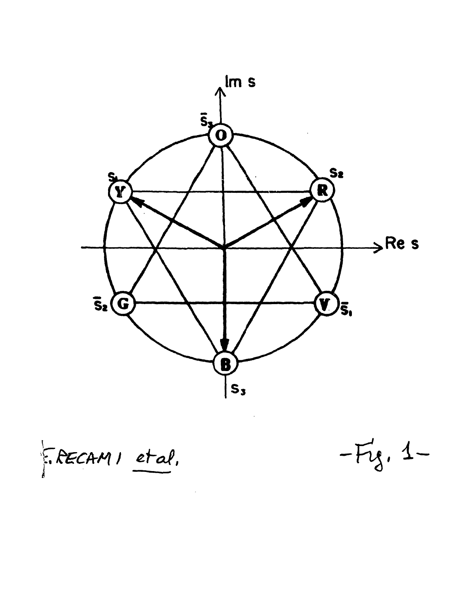

F. RECAMI et al.

 $-F_{3}$ , 1-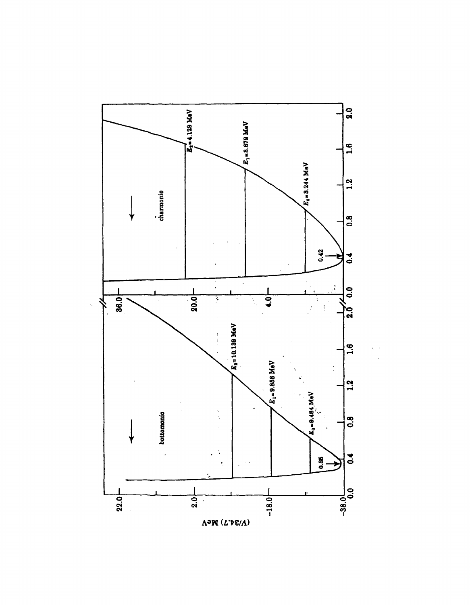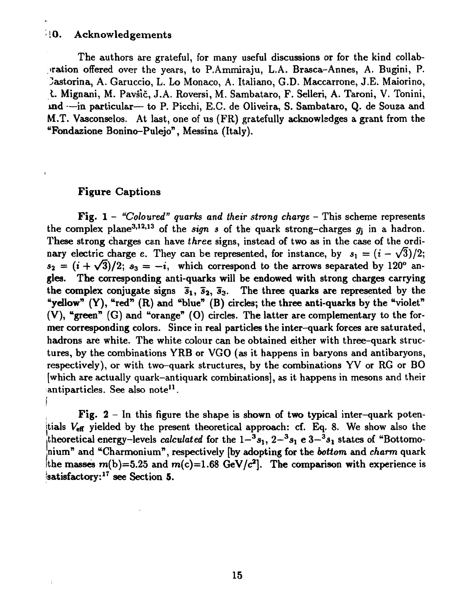#### > 10. Acknowledgements

The authors are grateful, for many useful discussions or for the kind collabpration offered over the years, to P.Ammiraju, L.A. Brasca-Annes, A. Bugini, P. Castorina, A. Garuccio, L. Lo Monaco, A. Italiano, G.D. Maccarrone, J.E. Maiorino, *I.* Mignani, M. Pavsic, J.A. Roversi, M. Sambataro, F. Selleri, A. Taroni, V. Tonini, ind —in particular— to P. Picchi, E.C. de Oliveira, S. Sambataro, Q. de Souza and M.T. Vasconselos. At last, one of us (FR) gratefully acknowledges a grant from the "Fondazione Bonino-Pulejo", Messina (Italy).

### Figure Captions

**I** 

Å

Fig. 1 - *"Coloured" quarks and their strong charge -* This scheme represents the complex plane<sup>3,12,13</sup> of the *sign s* of the quark strong-charges  $g_j$  in a hadron. These strong charges can have *three* signs, instead of two as in the case of the ordinary electric charge e. They can be represented, for instance, by  $s_1 = (i - \sqrt{3})/2$ ;  $s_2 = (i + \sqrt{3})/2$ ;  $s_3 = -i$ , which correspond to the arrows separated by 120° angles. The corresponding anti-quarks will be endowed with strong charges carrying the complex conjugate signs  $\bar{s}_1$ ,  $\bar{s}_2$ ,  $\bar{s}_3$ . The three quarks are represented by the "yellow"  $(Y)$ , "red"  $(R)$  and "blue"  $(B)$  circles; the three anti-quarks by the "violet" (V), "green"  $(G)$  and "orange"  $(0)$  circles. The latter are complementary to the former corresponding colors. Since in real particles the inter-quark forces are saturated, hadrons are white. The white colour can be obtained either with three-quark structures, by the combinations YRB or VGO (as it happens in baryons and antibaryons, respectively), or with two-quark structures, by the combinations YV or RG or BO [which are actually quark-antiquark combinations], as it happens in mesons and their antiparticles. See also note<sup>11</sup>.

Fig.  $2 - \ln$  this figure the shape is shown of two typical inter-quark potentials  $V_{\text{eff}}$  yielded by the present theoretical approach: cf. Eq. 8. We show also the theoretical energy–levels *calculated* for the  $1-^3s_1$ ,  $2-^3s_1$  e  $3-^3s_1$  states of "Bottomonium" and "Charmonium", respectively [by adopting for the *bottom* and *charm* quark the masses  $m(b)=5.25$  and  $m(c)=1.68$  GeV/ $c^2$ ]. The comparison with experience is satisfactory:<sup>17</sup> see Section 5.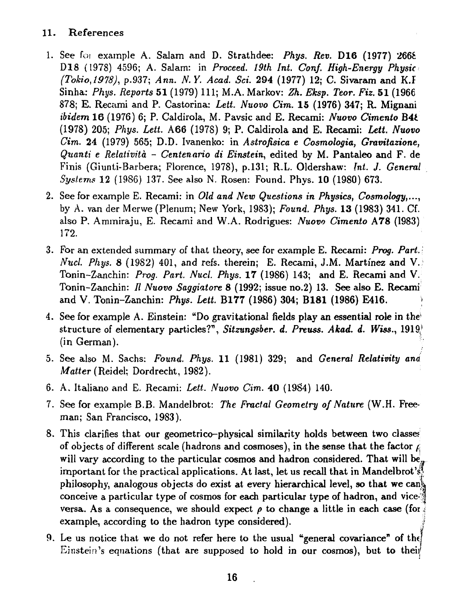### 11. References

- 1. See foi example A. Salam and D. Strathdee: *Phys. Rev.* D16 (1977) 266fc D18 (1978) 4596; A. Salam: in *Proceed. 19th Int. Conf. High-Energy Physic (Tokio,1918),* p.937; *Ann. N. Y. Acad. Set.* 294 (1977) 12; C. Sivaram and K.Í Sinha: *Phys. Reports* 51 (1979) 111; M.A. Markov: *Zh. Eksp. Teor. Fiz.* 51 (1966 878; E. Recami and P. Castorina: *Lett. Nuovo Cim.* 15 (1976) 347; R Mignani *ibidem* 16 (1976) 6; P. Caldirola, M. Pavsic and E. Recami: *Nuovo Cimento* B4Í. (1978) 205; *Phys. Lett.* A66 (197S) 9; P. Caldirola and E. Recami: *Lett. Nuovo Cim.* 24 (1979) 565; D.D. Ivanenko: in *Astrofísica e Cosmologia, Gravitazione, Quanti e Relatività - Centenário di Einstein,* edited by M. Pantaleo and F. de Finis (Giunti-Barbera; Florence, 1978), p.131; R.L. Oldershaw: *int. J. General Systems* 12 (1986) 137. See also N. Rosen: Found. Phys. 10 (1980) 673.
- 2. See for example E. Recami: in *Old and New Questions in Physics, Cosmology,...,*  by A. van der Merwe (Plenum; New York, 1983); *Found. Phys.* **13** (1983) 341. Cf. also P. Ammiraju, E. Recami and W.A. Rodrigues: *Nuovo Cimento* A78 (1983) 172.
- 3. For an extended summary *oi* that theory, see for example E. Recami: *Prog. Part. Nucl. Phys.* 8 (1982) 401, and refs. therein; E. Recami, J.M. Martinez and V. Tonin-Zanchin: *Prog. Part. Nucl. Phys.* 17 (1986) 143; and E. Recami and V. Tonin-Zanchin: // *Nuovo Saggiatore 8* (1992; issue no.2) 13. See also E. Recami and V. Tonin-Zanchin: *Phys. Lett.* B177 (1986) 304; **B181 (1986) E416.**
- 4. See for example A. Einstein: "Do gravitational fields play an essential role in the' structure of elementary particles?", *Sitzungsber. d. Preuss. Akad. d. Wiss.,* 1919/ (in German).
- 5. See also M. Sachs: *Found. Phys.* 11 (1981) 329; and *General Relativity ana Matter* (Reidel; Dordrecht, 1982).
- 6. A, Italiano and E. Recami: *Lett. Nuovo Cim.* 40 (1984) 140.
- 7. See for example B.B. Mandelbrot: The Fractal Geometry of Nature (W.H. Freeman; San Francisco, 1983).
- 8. This clarifies that our geometrico-physical similarity holds between two classe? of objects of different scale (hadrons and cosmoses), in the sense that the factor  $\beta$ will vary according to the particular cosmos and hadron considered. That will be, important for the practical applications. At last, let us recall that in Mandelbrot's! philosophy, analogous objects do exist at every hierarchical level, so that we cank conceive a particular type of cosmos for each particular type of hadron, and vice- $\mathbb N$ versa. As a consequence, we should expect  $\rho$  to change a little in each case (for  $\frac{2}{3}$ example, according to the hadron type considered).
- 9. Le us notice that we do not refer here to the usual "general covariance" of the 9. Le us notice that we do not refer here to the usual "general covariance" of the  $\sum_{i=1}^{n}$  is equations (that are supposed to hold in our cosmos), but to their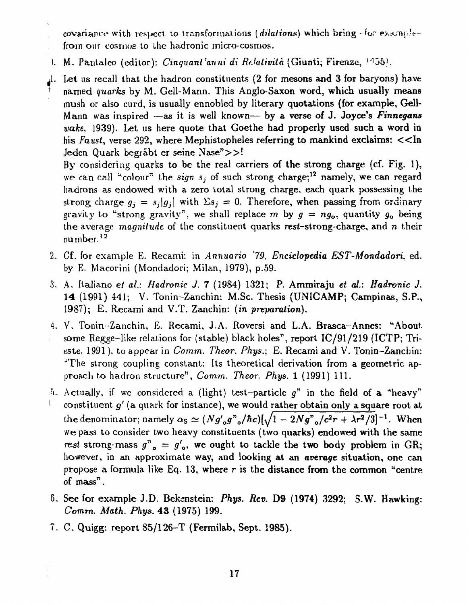covariance with respect to transformations *(dilations)* which bring - for examplefrom our cosmos to lhe hadronic micro-cosmos.

). M. Pantaleo (editor): *Cinquant'anni di Relatività* (Giunti; Firenze, 1955).

÷.

*A.* Let us recall that the hadron constituents (2 for mesons and 3 for baryons) have named *quarks* by M. Gell-Mann. This Anglo-Saxon word, which usually means mush or also curd, is usually ennobled by literary quotations (for example, Gell-Mann was inspired —as it is well known— by a verse of J. Joyce's *Finnegans wake,* 1939). Let us here quote that Goethe had properly used such a word in his *Faust*, verse 292, where Mephistopheles referring to mankind exclaims:  $<<$ In Jeden Quark begrãbt er seine Nase">>!

By considering quarks to be the real carriers of the strong charge (cf. Fig. 1), we can call "colour" the *sign s<sub>i</sub>* of such strong charge;<sup>12</sup> namely, we can regard hadrons as endowed with a zero total strong charge, each quark possessing the strong charge  $q_i = s_i|q_i|$  with  $\Sigma s_i = 0$ . Therefore, when passing from ordinary gravity to "strong gravity", we shall replace m by  $g = ng_0$ , quantity  $g_0$  being the average *magnitude* of the constituent quarks resi-strong-charge, and *n* their number.<sup>12</sup>

- 2. Cf. for example E. Recami: in *Annuario '79, Enciclopédia EST-Mondadori,* ed. by E. Macorini (Mondadori; Milan, 1979), p.59.
- 3. A. Italiano *et ai: Hadronic J.* 7 (1984) 1321; P. Ammiraju *et ai: Hadronic J.*  14 (1991) 441; V. Tonin-Zanchin: M.Sc. Thesis (UNICAMP; Campinas, S.P., 1987); E. Recami and V.T. Zanchin: *(in preparation).*
- 4. V. Tonin-Zanchin, E. Recami, J.A. Roversi and L.A. Brasca-Annes: "About some Regge-like relations for (stable) black holes", report IC/91/219 (ICTP; Trieste, 1991). to appear in *Comm. Theor. Phys.;* E. Recami and V. Tonin-Zanchin: "The strong coupling constant: Its theoretical derivation from a geometric approach to hadron structure", *Comm. Theor. Phys.* 1 (1991) 111.
- 5. Actually, if we considered a (light) test-particle *g"* in the field of a "heavy" constituent g' (a quark for instance), we would rather obtain only a square root at the denominator; namely  $\alpha_S \simeq (Ng'_{o}g^{n}{}_{o}/\hbar c)[\sqrt{1-2Ng^{n}{}_{o}/c^{2}r}+\lambda r^{2}/3]^{-1}$ . When we pass to consider two heavy constituents (two quarks) endowed with the same *rest* strong-mass  $g^2$ <sup> $\alpha$ </sup> =  $g'$ <sup> $\beta$ </sup>, we ought to tackle the two body problem in GR; however, in an approximate way, and looking at an *average* situation, one can propose a formula like Eq. 13, where r is the distance from the common "centre" of mass".
- 6. See for example J.D. Beksnstein: *Phys. Rev.* D9 (1974) 3292; S-W. Hawking: *Comm. Math. Phys.* 43 (1975) 199.
- 7. C. Quigg: report 85/126-T (Fermilab, Sept. 1985).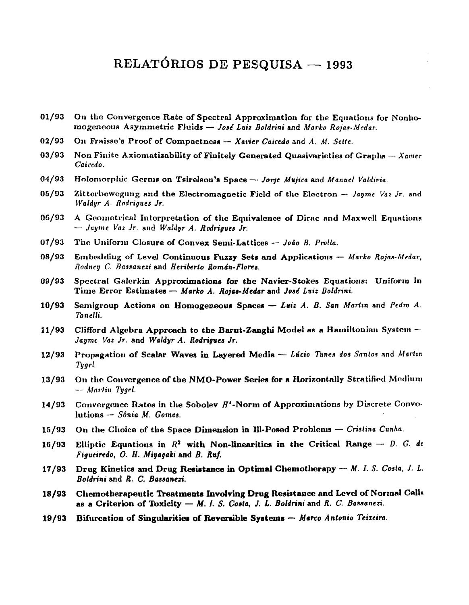## **RELATÓRIOS DE PESQUISA — 1993**

- 01/93 On the Convergence Rate of Spectral Approximation for the Equations for Nonhomogeneous Asymmetric Fluids - José Luiz Boldrini and Marko Rojas-Medar.
- 02/93 On Fraisse's Proof of Compactness -- Xavier Caicedo and A. M. Sette.
- 03/93 Non Finite Axiomatizability of Finitely Generated Quasivarieties of Graphs Xavier *Caicedo.*
- 04/9 3 Holomorpiiic Germs on TsireJson's Space — *Jorge Mujica* and *Manuel Valdivia*
- 05/93 Zitterbewegung and the Electromagnetic Field of the Electron Jayme Vaz Jr. and *Waldyr A. Rodrigues Jr.*
- 06/93 A Geometrical Interpretation of the Equivalence of Dirac and Maxwell Equations — *Jayme Vaz Jr.* and *Waldyr A. Rodrigues Jr.*
- 07/93 The Uniform Closure of Convex Semi-Lattices João B. Prolla.
- 08/93 Embedding of Level Continuous Fuzzy Sets and Applications Marko Rojas-Medar, *Rodney C. Bassanezi* and *Heriberto Román-Flores.*
- 09/93 Spectral Galerkin Approximations for the Navier-Stokes Equations: Uniform in Time Error Estimates - Marko A. Rojas-Medar and José Luiz Boldrini.
- **10/93** Semigroup Actions **on Homogeneous Spaces** — *Luiz A. B. San Marim* and *Pedro A. Tonelli.*
- 11/93 Clifford Algebra Approach to the Barut-Zanghi Model as a Hamiltonian System *Jayme Vaz Jr.* and *Waldyr A. Rodrigues Jr.*
- 12/93 Propagation of Scalar Waves in Layered Media Lúcio Tunes dos Santos and Martin *Tygei*
- 13/93 On the Convergence of the NMO-Power Series for a Horizontally Stratified Medium - *Martin Tygel.*
- 14/93 Convergence Rates in the Sobolev H<sup>t</sup>-Norm of Approximations by Discrete Convolutions — *Sônia M. Gomes.*
- 15/93 On the Choice of the Space Dimension in Ill-Posed Problems Cristina Cunha.
- **16/93** Elliptic Equations in  $R^2$  with Non-linearities in the Critical Range *D. G. de Figueiredo, 0. H. Miyagaki* and *B. Ruf.*
- **17/93 Drug Kinetics and Drug Resistance in Optima] Chemotherapy** — *M. I. S. Costa, J. L. Boldrini* and *R. C. Bassanczi.*
- **18/93** Chemotherapeutic Treatments Involving Drug Resistance and Level of Normal Cells **as a Criterion of Toxicity** — *M. I. S. Costa, J. L. Boldrini* and *R. C. Bassanczi.*
- **19/9 3 Bifurcation of Singularities of Reversible Systems** — *Marco Antonio Teixeira.*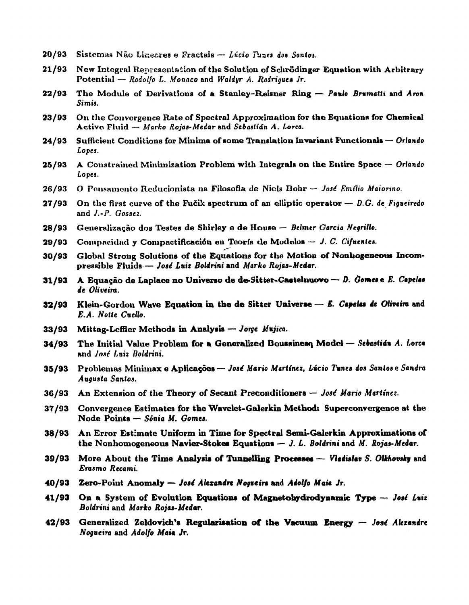- **20/93 Sistemas Não Line&res e Fractals —** *Lúcio Tunes do» Santos.*
- **21/93 New Integral Representation of the Solutiou of Schrõdinger Equation with Arbitrary Potential —** *Rodolfo L. Monaco* **and** *Waldyr A. Rodrigues Jr.*
- **22/93 The Module of Derivations of a Stanley-Reisner Ring —** *Pamlo Brmmatti* **and** *Avon Simis.*
- **23/93** On the Convergence Rate of Spectral Approximation for the Equations for Chemical **Activo Fluid —** *Marko Rojas-Medar* **and** *Sebastian A. Lorca.*
- **24/93 Sufficient Conditions for Minima of some Translation Invariant Functional» —** *Orlando Lopes.*
- **25/93 A Constrained Minimization Problem with Integrals on the Entire Space —** *Orlando Lopes.*
- **26/93 O Pensamento Rcducionista na Filosofia de Niclg Dohr —** *José Emílio Maiorino.*
- **27/93 On the first curve of the Fucik spectrum of an elliptic operator —** *D.G. de Figueiredo*  **and** *J.-P. Gossez.*
- **28/93 Generalização dos Testes de Shirley e de House —** *Belmer Garcia Negrillo.*
- **29/93 Compac.idari y Compactificación en Teoria do Modulo» —** *J. C. Cifuenles.*
- **30/93 Global Strong Solutions of the Equations for the Motion of Nonhogeneous Incompressible Fluids—** *José Luiz Boldrini* **and** *Marko Rojas-Medar.*
- **31/93** A Equação de Laplace no Universo de de-Sitter-Castelnuovo *D. Gomes* e E. Capelas *de Oliveira.*
- **32/93 Klein-Gordon Wave Equation in the de Sitter Universe —** *E. Capelas ie Oliveira* **and**  *E.A. Nolie Cuello.*
- **33/93 Mittag-Leffler Methods in Analysis —** *Jorge Mujica.*
- **34/93 The Initial Value Problem for a Generalized Doussinesq Model —** *Sebastian A. Lorca*  **and** *José Luiz Doldrini.*
- **35/93 Problemas Minhnax e Aplicações —** *José Mario Martinez, Lúcio Tunes dos Santos* **e** *Sandra Augusta Santos.*
- **36/93** An Extension of the Theory of Secant Preconditioners *José Mario Martinez.*
- **37/93 Convergence Estimates for the Wavelet-Galerkin Method: Superconvergence at the Node Points —** *Sónia M. Gomes.*
- **38/93 An Error Estimate Uniform in Time for Spectral Semi-Galerkin Approximations of the Nonhomogeneous Navier-Stokes Equations —** *J. L. Boldrini* **and** *M. Rojas-Medar.*
- **39/93 More About the Time Analysis of Tunnelling Processes —** *Vladislav S. Olkhovskv* **and**  *Erasmo Recami.*
- **40/93 Zero-Point Anomaly —** *José Alexandre Nogueira* **and** *Adolfo Maia Jr.*
- **41/93 On a System of Evolution Equations of Magnetohydrodynamic Type —** *José Luiz Boldrini* **and** *Marko Rojas-Medar.*
- **42/93 Generalized Zeldovich's Regularisation of the Vacuum Energy —** *José Alexandre Nogueira* **and** *Adolfo Maia Jr.*